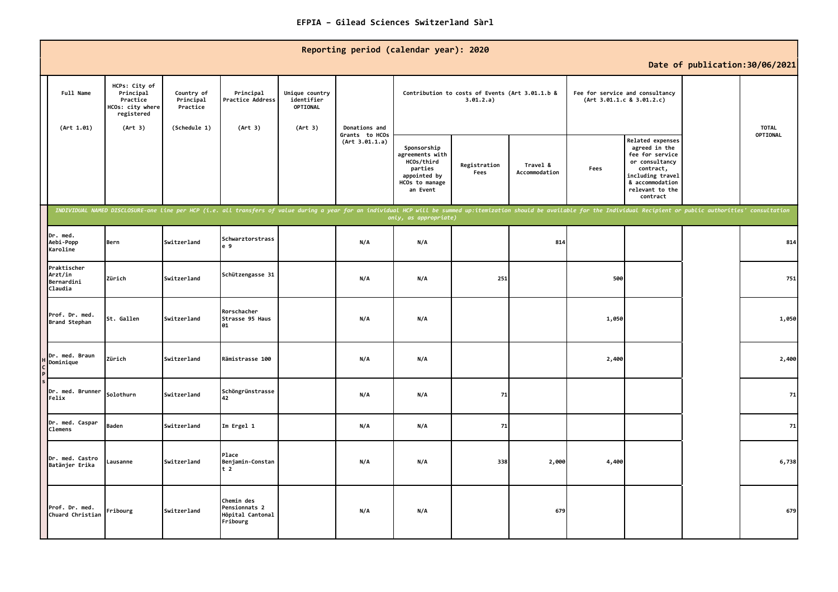|                                                 |                                                                          |                                     |                                                             |                                          | Reporting period (calendar year): 2020                                                                                                                                                                                         |                                                                                                       |                                                              |                           |       |                                                                                                                                                           | Date of publication: 30/06/2021 |                          |
|-------------------------------------------------|--------------------------------------------------------------------------|-------------------------------------|-------------------------------------------------------------|------------------------------------------|--------------------------------------------------------------------------------------------------------------------------------------------------------------------------------------------------------------------------------|-------------------------------------------------------------------------------------------------------|--------------------------------------------------------------|---------------------------|-------|-----------------------------------------------------------------------------------------------------------------------------------------------------------|---------------------------------|--------------------------|
| Full Name                                       | HCPs: City of<br>Principal<br>Practice<br>HCOs: city where<br>registered | Country of<br>Principal<br>Practice | Principal<br>Practice Address                               | Unique country<br>identifier<br>OPTIONAL |                                                                                                                                                                                                                                |                                                                                                       | Contribution to costs of Events (Art 3.01.1.b &<br>3.01.2.a) |                           |       | Fee for service and consultancy<br>(Art 3.01.1.c 8 3.01.2.c)                                                                                              |                                 |                          |
| (Art 1.01)                                      | (Art 3)                                                                  | (Schedule 1)                        | (Art 3)                                                     | (Art 3)                                  | Donations and<br>Grants to HCOs<br>(Art 3.01.1.a)                                                                                                                                                                              | Sponsorship<br>agreements with<br>HCOs/third<br>parties<br>appointed by<br>HCOs to manage<br>an Event | Registration<br>Fees                                         | Travel &<br>Accommodation | Fees  | Related expenses<br>agreed in the<br>fee for service<br>or consultancy<br>contract,<br>including travel<br>& accommodation<br>relevant to the<br>contract |                                 | <b>TOTAL</b><br>OPTIONAL |
|                                                 |                                                                          |                                     |                                                             |                                          | INDIVIDUAL NAMED DISCLOSURE-one line per HCP (i.e. all transfers of value during a year for an individual HCP will be summed up:itemization should be available for the Individual Recipient or public authorities' consultati | only, as appropriate)                                                                                 |                                                              |                           |       |                                                                                                                                                           |                                 |                          |
| Dr. med.<br>Aebi-Popp<br>Karoline               | Bern                                                                     | Switzerland                         | Schwarztorstrass<br>e 9                                     |                                          | N/A                                                                                                                                                                                                                            | N/A                                                                                                   |                                                              | 814                       |       |                                                                                                                                                           |                                 | 814                      |
| Praktischer<br>Arzt/in<br>Bernardini<br>Claudia | Zürich                                                                   | Switzerland                         | Schützengasse 31                                            |                                          | N/A                                                                                                                                                                                                                            | N/A                                                                                                   | 251                                                          |                           | 500   |                                                                                                                                                           |                                 | 751                      |
| Prof. Dr. med.<br>Brand Stephan                 | St. Gallen                                                               | Switzerland                         | Rorschacher<br>Strasse 95 Haus<br>01                        |                                          | N/A                                                                                                                                                                                                                            | N/A                                                                                                   |                                                              |                           | 1,050 |                                                                                                                                                           |                                 | 1,050                    |
| Dr. med. Braun<br>Dominique                     | Zürich                                                                   | Switzerland                         | Rämistrasse 100                                             |                                          | N/A                                                                                                                                                                                                                            | N/A                                                                                                   |                                                              |                           | 2,400 |                                                                                                                                                           |                                 | 2,400                    |
| Dr. med. Brunner<br>Felix                       | Solothurn                                                                | Switzerland                         | Schöngrünstrasse<br>42                                      |                                          | N/A                                                                                                                                                                                                                            | N/A                                                                                                   | 71                                                           |                           |       |                                                                                                                                                           |                                 | 71                       |
| Dr. med. Caspar<br><b>Clemens</b>               | Baden                                                                    | Switzerland                         | Im Ergel 1                                                  |                                          | N/A                                                                                                                                                                                                                            | N/A                                                                                                   | 71                                                           |                           |       |                                                                                                                                                           |                                 | 71                       |
| Dr. med. Castro<br>Batänjer Erika               | Lausanne                                                                 | Switzerland                         | Place<br>Benjamin-Constan<br>t <sub>2</sub>                 |                                          | N/A                                                                                                                                                                                                                            | N/A                                                                                                   | 338                                                          | 2,000                     | 4,400 |                                                                                                                                                           |                                 | 6,738                    |
| Prof. Dr. med.<br>Chuard Christian              | Fribourg                                                                 | Switzerland                         | Chemin des<br>Pensionnats 2<br>Hôpital Cantonal<br>Fribourg |                                          | N/A                                                                                                                                                                                                                            | N/A                                                                                                   |                                                              | 679                       |       |                                                                                                                                                           |                                 | 679                      |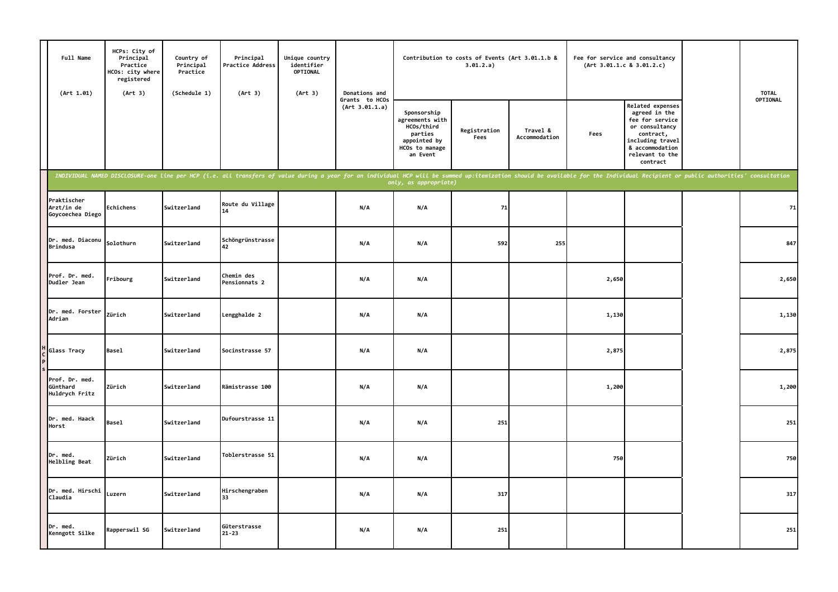| Full Name<br>(Art 1.01)                       | HCPs: City of<br>Principal<br>Practice<br>HCOs: city where<br>registered<br>(Art 3) | Country of<br>Principal<br>Practice<br>(Schedule 1) | Principal<br>Practice Address<br>(Art 3)                                                                                                                                                                                       | Unique country<br>identifier<br>OPTIONAL<br>(Art 3) | Donations and                    |                                                                                                       | Contribution to costs of Events (Art 3.01.1.b &<br>3.01.2.a) |                           | Fee for service and consultancy<br>(Art 3.01.1.c 8 3.01.2.c) |                                                                                                                                                           | <b>TOTAL</b> |
|-----------------------------------------------|-------------------------------------------------------------------------------------|-----------------------------------------------------|--------------------------------------------------------------------------------------------------------------------------------------------------------------------------------------------------------------------------------|-----------------------------------------------------|----------------------------------|-------------------------------------------------------------------------------------------------------|--------------------------------------------------------------|---------------------------|--------------------------------------------------------------|-----------------------------------------------------------------------------------------------------------------------------------------------------------|--------------|
|                                               |                                                                                     |                                                     |                                                                                                                                                                                                                                |                                                     | Grants to HCOs<br>(Art 3.01.1.a) | Sponsorship<br>agreements with<br>HCOs/third<br>parties<br>appointed by<br>HCOs to manage<br>an Event | Registration<br>Fees                                         | Travel &<br>Accommodation | Fees                                                         | Related expenses<br>agreed in the<br>fee for service<br>or consultancy<br>contract,<br>including travel<br>& accommodation<br>relevant to the<br>contract | OPTIONAL     |
|                                               |                                                                                     |                                                     | INDIVIDUAL NAMED DISCLOSURE-one line per HCP (i.e. all transfers of value during a year for an individual HCP will be summed up:itemization should be available for the Individual Recipient or public authorities' consultati |                                                     |                                  | only, as appropriate)                                                                                 |                                                              |                           |                                                              |                                                                                                                                                           |              |
| Praktischer<br>Arzt/in de<br>Goycoechea Diego | Echichens                                                                           | Switzerland                                         | Route du Village<br>14                                                                                                                                                                                                         |                                                     | N/A                              | N/A                                                                                                   | 71                                                           |                           |                                                              |                                                                                                                                                           | 71           |
| Dr. med. Diaconu<br>Brindusa                  | Solothurn                                                                           | Switzerland                                         | Schöngrünstrasse<br>42                                                                                                                                                                                                         |                                                     | N/A                              | N/A                                                                                                   | 592                                                          | 255                       |                                                              |                                                                                                                                                           | 847          |
| Prof. Dr. med.<br>Dudler Jean                 | Fribourg                                                                            | Switzerland                                         | Chemin des<br>Pensionnats 2                                                                                                                                                                                                    |                                                     | N/A                              | N/A                                                                                                   |                                                              |                           | 2,650                                                        |                                                                                                                                                           | 2,650        |
| Dr. med. Forster<br>Adrian                    | Zürich                                                                              | Switzerland                                         | Lengghalde 2                                                                                                                                                                                                                   |                                                     | N/A                              | N/A                                                                                                   |                                                              |                           | 1,130                                                        |                                                                                                                                                           | 1,130        |
| Glass Tracy                                   | <b>Basel</b>                                                                        | Switzerland                                         | Socinstrasse 57                                                                                                                                                                                                                |                                                     | N/A                              | N/A                                                                                                   |                                                              |                           | 2,875                                                        |                                                                                                                                                           | 2,875        |
| Prof. Dr. med.<br>Günthard<br>Huldrych Fritz  | Zürich                                                                              | Switzerland                                         | Rämistrasse 100                                                                                                                                                                                                                |                                                     | N/A                              | N/A                                                                                                   |                                                              |                           | 1,200                                                        |                                                                                                                                                           | 1,200        |
| Dr. med. Haack<br>Horst                       | <b>Basel</b>                                                                        | Switzerland                                         | Dufourstrasse 11                                                                                                                                                                                                               |                                                     | N/A                              | N/A                                                                                                   | 251                                                          |                           |                                                              |                                                                                                                                                           | 251          |
| Dr. med.<br>Helbling Beat                     | Zürich                                                                              | Switzerland                                         | Toblerstrasse 51                                                                                                                                                                                                               |                                                     | N/A                              | N/A                                                                                                   |                                                              |                           | 750                                                          |                                                                                                                                                           | 750          |
| Dr. med. Hirschi<br>Claudia                   | Luzern                                                                              | Switzerland                                         | Hirschengraben<br>33                                                                                                                                                                                                           |                                                     | N/A                              | N/A                                                                                                   | 317                                                          |                           |                                                              |                                                                                                                                                           | 317          |
| Dr. med.<br>Kenngott Silke                    | Rapperswil SG                                                                       | Switzerland                                         | Güterstrasse<br>$21 - 23$                                                                                                                                                                                                      |                                                     | N/A                              | N/A                                                                                                   | 251                                                          |                           |                                                              |                                                                                                                                                           | 251          |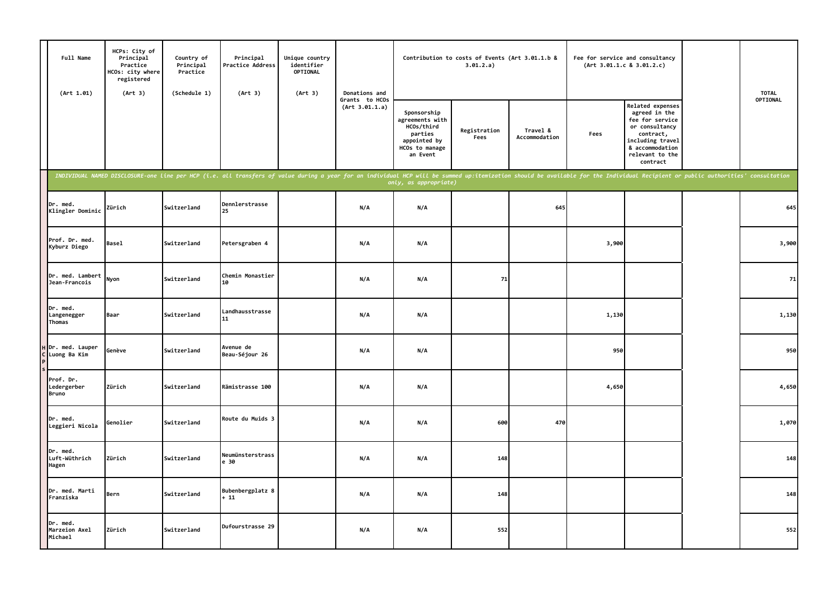| Full Name<br>(Art 1.01)                  | HCPs: City of<br>Principal<br>Practice<br>HCOs: city where<br>registered<br>(Art 3) | Country of<br>Principal<br>Practice<br>(Schedule 1) | Principal<br>Practice Address<br>(Art 3)                                                                                                                                                                                       | Unique country<br>identifier<br>OPTIONAL<br>(Art 3) | Donations and                    |                                                                                                       | Contribution to costs of Events (Art 3.01.1.b &<br>3.01.2.a) |                           |       | Fee for service and consultancy<br>(Art 3.01.1.c 8 3.01.2.c)                                                                                              | <b>TOTAL</b> |
|------------------------------------------|-------------------------------------------------------------------------------------|-----------------------------------------------------|--------------------------------------------------------------------------------------------------------------------------------------------------------------------------------------------------------------------------------|-----------------------------------------------------|----------------------------------|-------------------------------------------------------------------------------------------------------|--------------------------------------------------------------|---------------------------|-------|-----------------------------------------------------------------------------------------------------------------------------------------------------------|--------------|
|                                          |                                                                                     |                                                     |                                                                                                                                                                                                                                |                                                     | Grants to HCOs<br>(Art 3.01.1.a) | Sponsorship<br>agreements with<br>HCOs/third<br>parties<br>appointed by<br>HCOs to manage<br>an Event | Registration<br>Fees                                         | Travel &<br>Accommodation | Fees  | Related expenses<br>agreed in the<br>fee for service<br>or consultancy<br>contract,<br>including travel<br>& accommodation<br>relevant to the<br>contract | OPTIONAL     |
|                                          |                                                                                     |                                                     | INDIVIDUAL NAMED DISCLOSURE-one line per HCP (i.e. all transfers of value during a year for an individual HCP will be summed up:itemization should be available for the Individual Recipient or public authorities' consultati |                                                     |                                  | only, as appropriate)                                                                                 |                                                              |                           |       |                                                                                                                                                           |              |
| Dr. med.<br>Klingler Dominic             | Zürich                                                                              | Switzerland                                         | Dennlerstrasse<br>25                                                                                                                                                                                                           |                                                     | N/A                              | N/A                                                                                                   |                                                              | 645                       |       |                                                                                                                                                           | 645          |
| Prof. Dr. med.<br>Kyburz Diego           | <b>Basel</b>                                                                        | Switzerland                                         | Petersgraben 4                                                                                                                                                                                                                 |                                                     | N/A                              | N/A                                                                                                   |                                                              |                           | 3,900 |                                                                                                                                                           | 3,900        |
| Dr. med. Lambert<br>Jean-Francois        | Nyon                                                                                | Switzerland                                         | Chemin Monastier<br>10                                                                                                                                                                                                         |                                                     | N/A                              | N/A                                                                                                   | 71                                                           |                           |       |                                                                                                                                                           | 71           |
| Dr. med.<br>Langenegger<br>Thomas        | Baar                                                                                | Switzerland                                         | Landhausstrasse<br>11                                                                                                                                                                                                          |                                                     | N/A                              | N/A                                                                                                   |                                                              |                           | 1,130 |                                                                                                                                                           | 1,130        |
| Dr. med. Lauper<br>Luong Ba Kim          | Genève                                                                              | Switzerland                                         | Avenue de<br>Beau-Séjour 26                                                                                                                                                                                                    |                                                     | N/A                              | N/A                                                                                                   |                                                              |                           | 950   |                                                                                                                                                           | 950          |
| Prof. Dr.<br>Ledergerber<br><b>Bruno</b> | Zürich                                                                              | Switzerland                                         | Rämistrasse 100                                                                                                                                                                                                                |                                                     | N/A                              | N/A                                                                                                   |                                                              |                           | 4,650 |                                                                                                                                                           | 4,650        |
| Dr. med.<br>Leggieri Nicola              | Genolier                                                                            | Switzerland                                         | Route du Muids 3                                                                                                                                                                                                               |                                                     | N/A                              | N/A                                                                                                   | 600                                                          | 470                       |       |                                                                                                                                                           | 1,070        |
| Dr. med.<br>Luft-Wüthrich<br>Hagen       | Zürich                                                                              | Switzerland                                         | Neumünsterstrass<br>e 30                                                                                                                                                                                                       |                                                     | N/A                              | N/A                                                                                                   | 148                                                          |                           |       |                                                                                                                                                           | 148          |
| Dr. med. Marti<br>Franziska              | Bern                                                                                | Switzerland                                         | Bubenbergplatz 8<br>$+11$                                                                                                                                                                                                      |                                                     | N/A                              | N/A                                                                                                   | 148                                                          |                           |       |                                                                                                                                                           | 148          |
| Dr. med.<br>Marzeion Axel<br>Michael     | Zürich                                                                              | Switzerland                                         | Dufourstrasse 29                                                                                                                                                                                                               |                                                     | N/A                              | N/A                                                                                                   | 552                                                          |                           |       |                                                                                                                                                           | 552          |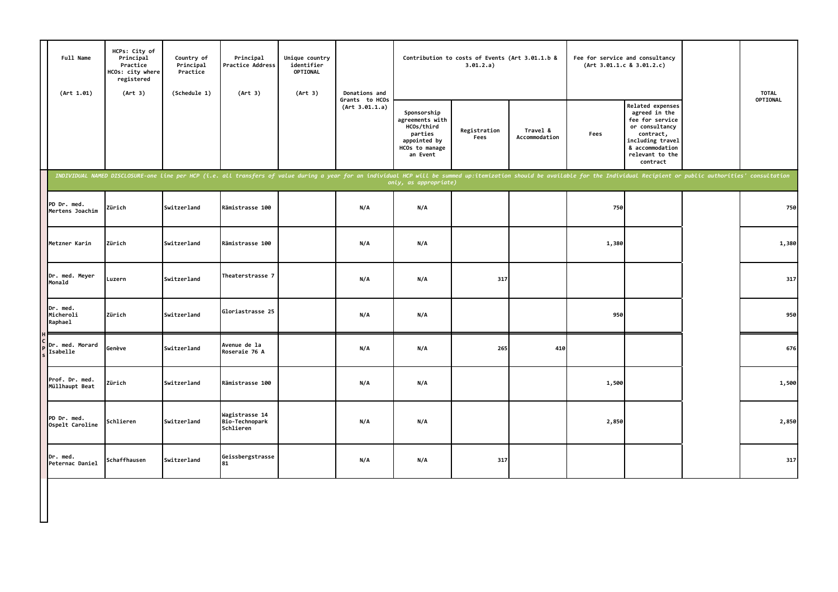| Full Name<br>(Art 1.01)          | HCPs: City of<br>Principal<br>Practice<br>HCOs: city where<br>registered<br>(Art 3) | Country of<br>Principal<br>Practice<br>(Schedule 1) | Principal<br>Practice Address<br>(Art 3)                                                                                                                                                                                       | Unique country<br>identifier<br>OPTIONAL<br>(Art 3) | Donations and                    |                                                                                                       | Contribution to costs of Events (Art 3.01.1.b &<br>3.01.2.a) |                           |       | Fee for service and consultancy<br>(Art 3.01.1.c 8 3.01.2.c)                                                                                              | <b>TOTAL</b> |
|----------------------------------|-------------------------------------------------------------------------------------|-----------------------------------------------------|--------------------------------------------------------------------------------------------------------------------------------------------------------------------------------------------------------------------------------|-----------------------------------------------------|----------------------------------|-------------------------------------------------------------------------------------------------------|--------------------------------------------------------------|---------------------------|-------|-----------------------------------------------------------------------------------------------------------------------------------------------------------|--------------|
|                                  |                                                                                     |                                                     |                                                                                                                                                                                                                                |                                                     | Grants to HCOs<br>(Art 3.01.1.a) | Sponsorship<br>agreements with<br>HCOs/third<br>parties<br>appointed by<br>HCOs to manage<br>an Event | Registration<br>Fees                                         | Travel &<br>Accommodation | Fees  | Related expenses<br>agreed in the<br>fee for service<br>or consultancy<br>contract,<br>including travel<br>& accommodation<br>relevant to the<br>contract | OPTIONAL     |
|                                  |                                                                                     |                                                     | INDIVIDUAL NAMED DISCLOSURE-one line per HCP (i.e. all transfers of value during a year for an individual HCP will be summed up:itemization should be available for the Individual Recipient or public authorities' consultati |                                                     |                                  | only, as appropriate)                                                                                 |                                                              |                           |       |                                                                                                                                                           |              |
| PD Dr. med.<br>Mertens Joachim   | Zürich                                                                              | Switzerland                                         | Rämistrasse 100                                                                                                                                                                                                                |                                                     | N/A                              | N/A                                                                                                   |                                                              |                           | 750   |                                                                                                                                                           | 750          |
| Metzner Karin                    | Zürich                                                                              | Switzerland                                         | Rämistrasse 100                                                                                                                                                                                                                |                                                     | N/A                              | N/A                                                                                                   |                                                              |                           | 1,380 |                                                                                                                                                           | 1,380        |
| Dr. med. Meyer<br>Monald         | Luzern                                                                              | Switzerland                                         | Theaterstrasse 7                                                                                                                                                                                                               |                                                     | N/A                              | N/A                                                                                                   | 317                                                          |                           |       |                                                                                                                                                           | 317          |
| Dr. med.<br>Micheroli<br>Raphae1 | Zürich                                                                              | Switzerland                                         | Gloriastrasse 25                                                                                                                                                                                                               |                                                     | N/A                              | N/A                                                                                                   |                                                              |                           | 950   |                                                                                                                                                           | 950          |
| Dr. med. Morard<br>Isabelle      | Genève                                                                              | Switzerland                                         | Avenue de la<br>Roseraie 76 A                                                                                                                                                                                                  |                                                     | N/A                              | N/A                                                                                                   | 265                                                          | 410                       |       |                                                                                                                                                           | 676          |
| Prof. Dr. med.<br>Müllhaupt Beat | Zürich                                                                              | Switzerland                                         | Rämistrasse 100                                                                                                                                                                                                                |                                                     | N/A                              | N/A                                                                                                   |                                                              |                           | 1,500 |                                                                                                                                                           | 1,500        |
| PD Dr. med.<br>Ospelt Caroline   | Schlieren                                                                           | Switzerland                                         | Wagistrasse 14<br>Bio-Technopark<br>Schlieren                                                                                                                                                                                  |                                                     | N/A                              | N/A                                                                                                   |                                                              |                           | 2,850 |                                                                                                                                                           | 2,850        |
| Dr. med.<br>Peternac Daniel      | Schaffhausen                                                                        | Switzerland                                         | Geissbergstrasse<br>81                                                                                                                                                                                                         |                                                     | N/A                              | N/A                                                                                                   | 317                                                          |                           |       |                                                                                                                                                           | 317          |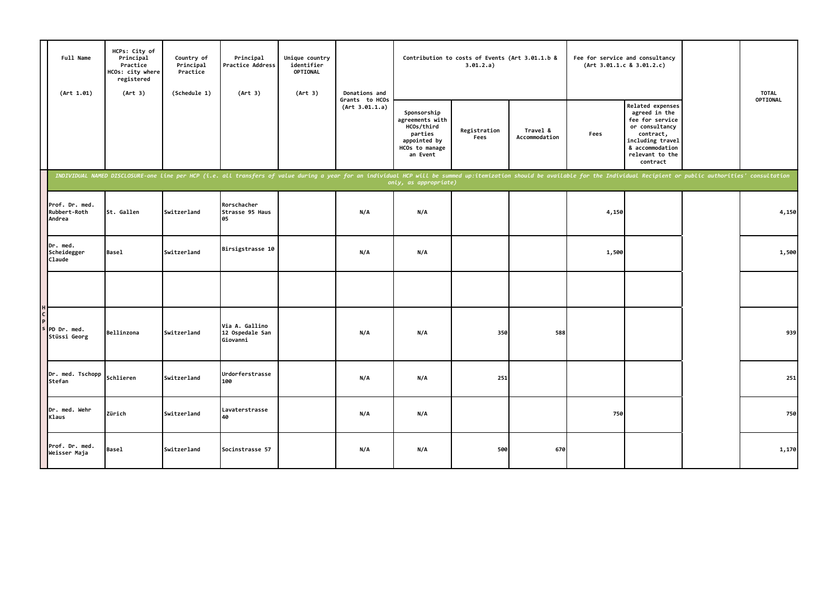| Full Name<br>(Art 1.01)                  | HCPs: City of<br>Principal<br>Practice<br>HCOs: city where<br>registered<br>(Art 3) | Country of<br>Principal<br>Practice<br>(Schedule 1) | Principal<br>Practice Address<br>(Art 3)                                                                                                                                                                                       | Unique country<br>identifier<br>OPTIONAL<br>(Art 3) | Donations and                    |                                                                                                       | Contribution to costs of Events (Art 3.01.1.b &<br>3.01.2.a) |                           |       | Fee for service and consultancy<br>(Art 3.01.1.c 8 3.01.2.c)                                                                                              | <b>TOTAL</b> |
|------------------------------------------|-------------------------------------------------------------------------------------|-----------------------------------------------------|--------------------------------------------------------------------------------------------------------------------------------------------------------------------------------------------------------------------------------|-----------------------------------------------------|----------------------------------|-------------------------------------------------------------------------------------------------------|--------------------------------------------------------------|---------------------------|-------|-----------------------------------------------------------------------------------------------------------------------------------------------------------|--------------|
|                                          |                                                                                     |                                                     |                                                                                                                                                                                                                                |                                                     | Grants to HCOs<br>(Art 3.01.1.a) | Sponsorship<br>agreements with<br>HCOs/third<br>parties<br>appointed by<br>HCOs to manage<br>an Event | Registration<br>Fees                                         | Travel &<br>Accommodation | Fees  | Related expenses<br>agreed in the<br>fee for service<br>or consultancy<br>contract,<br>including travel<br>& accommodation<br>relevant to the<br>contract | OPTIONAL     |
|                                          |                                                                                     |                                                     | INDIVIDUAL NAMED DISCLOSURE-one line per HCP (i.e. all transfers of value during a year for an individual HCP will be summed up:itemization should be available for the Individual Recipient or public authorities' consultati |                                                     |                                  | only, as appropriate)                                                                                 |                                                              |                           |       |                                                                                                                                                           |              |
| Prof. Dr. med.<br>Rubbert-Roth<br>Andrea | St. Gallen                                                                          | Switzerland                                         | Rorschacher<br>Strasse 95 Haus<br>05                                                                                                                                                                                           |                                                     | N/A                              | N/A                                                                                                   |                                                              |                           | 4,150 |                                                                                                                                                           | 4,150        |
| Dr. med.<br>Scheidegger<br>Claude        | <b>Basel</b>                                                                        | Switzerland                                         | Birsigstrasse 10                                                                                                                                                                                                               |                                                     | N/A                              | N/A                                                                                                   |                                                              |                           | 1,500 |                                                                                                                                                           | 1,500        |
|                                          |                                                                                     |                                                     |                                                                                                                                                                                                                                |                                                     |                                  |                                                                                                       |                                                              |                           |       |                                                                                                                                                           |              |
| PD Dr. med.<br>Stüssi Georg              | Bellinzona                                                                          | <b>Switzerland</b>                                  | Via A. Gallino<br>12 Ospedale San<br>Giovanni                                                                                                                                                                                  |                                                     | N/A                              | N/A                                                                                                   | 350                                                          | 588                       |       |                                                                                                                                                           | 939          |
| Dr. med. Tschopp<br>Stefan               | Schlieren                                                                           | Switzerland                                         | Urdorferstrasse<br>100                                                                                                                                                                                                         |                                                     | N/A                              | N/A                                                                                                   | 251                                                          |                           |       |                                                                                                                                                           | 251          |
| IDr. med. Wehr<br>Klaus                  | Zürich                                                                              | Switzerland                                         | Lavaterstrasse<br>40                                                                                                                                                                                                           |                                                     | N/A                              | N/A                                                                                                   |                                                              |                           | 750   |                                                                                                                                                           | 750          |
| Prof. Dr. med.<br>Weisser Maja           | Basel                                                                               | <b>Switzerland</b>                                  | Socinstrasse 57                                                                                                                                                                                                                |                                                     | N/A                              | N/A                                                                                                   | 500                                                          | 670                       |       |                                                                                                                                                           | 1,170        |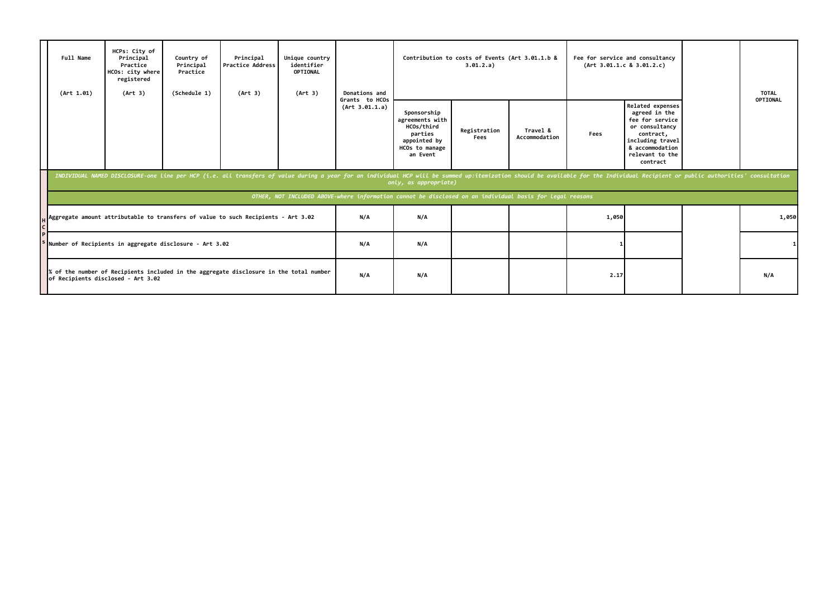| Full Name<br>(Art 1.01) | HCPs: City of<br>Principal<br>Practice<br>HCOs: city where<br>registered<br>(Art 3) | Country of<br>Principal<br>Practice<br>(Schedule 1) | Principal<br>Practice Address<br>(Art 3)                                                                                                                                                                                       | Unique country<br>identifier<br>OPTIONAL<br>(Art 3) | Donations and                    |                                                                                                          | Contribution to costs of Events (Art 3.01.1.b &<br>3.01.2.a) |                           |       | Fee for service and consultancy<br>(Art 3.01.1.c 8 3.01.2.c)                                                                                              | <b>TOTAL</b> |
|-------------------------|-------------------------------------------------------------------------------------|-----------------------------------------------------|--------------------------------------------------------------------------------------------------------------------------------------------------------------------------------------------------------------------------------|-----------------------------------------------------|----------------------------------|----------------------------------------------------------------------------------------------------------|--------------------------------------------------------------|---------------------------|-------|-----------------------------------------------------------------------------------------------------------------------------------------------------------|--------------|
|                         |                                                                                     |                                                     |                                                                                                                                                                                                                                |                                                     | Grants to HCOs<br>(Art 3.01.1.a) | Sponsorship<br>agreements with<br>HCOs/third<br>parties<br>appointed by<br>HCOs to manage<br>an Event    | Registration<br>Fees                                         | Travel &<br>Accommodation | Fees  | Related expenses<br>agreed in the<br>fee for service<br>or consultancy<br>contract,<br>including travel<br>& accommodation<br>relevant to the<br>contract | OPTIONAL     |
|                         |                                                                                     |                                                     | INDIVIDUAL NAMED DISCLOSURE-one line per HCP (i.e. all transfers of value during a year for an individual HCP will be summed up:itemization should be available for the Individual Recipient or public authorities' consultati |                                                     |                                  | only, as appropriate)                                                                                    |                                                              |                           |       |                                                                                                                                                           |              |
|                         |                                                                                     |                                                     |                                                                                                                                                                                                                                |                                                     |                                  | OTHER, NOT INCLUDED ABOVE-where information cannot be disclosed on an individual basis for legal reasons |                                                              |                           |       |                                                                                                                                                           |              |
|                         |                                                                                     |                                                     | Aggregate amount attributable to transfers of value to such Recipients - Art 3.02                                                                                                                                              |                                                     | N/A                              | N/A                                                                                                      |                                                              |                           | 1,050 |                                                                                                                                                           | 1,050        |
|                         | Number of Recipients in aggregate disclosure - Art 3.02                             |                                                     |                                                                                                                                                                                                                                |                                                     | N/A                              | N/A                                                                                                      |                                                              |                           |       |                                                                                                                                                           |              |
|                         | of Recipients disclosed - Art 3.02                                                  |                                                     | of the number of Recipients included in the aggregate disclosure in the total number                                                                                                                                           |                                                     | N/A                              | N/A                                                                                                      |                                                              |                           | 2.17  |                                                                                                                                                           | N/A          |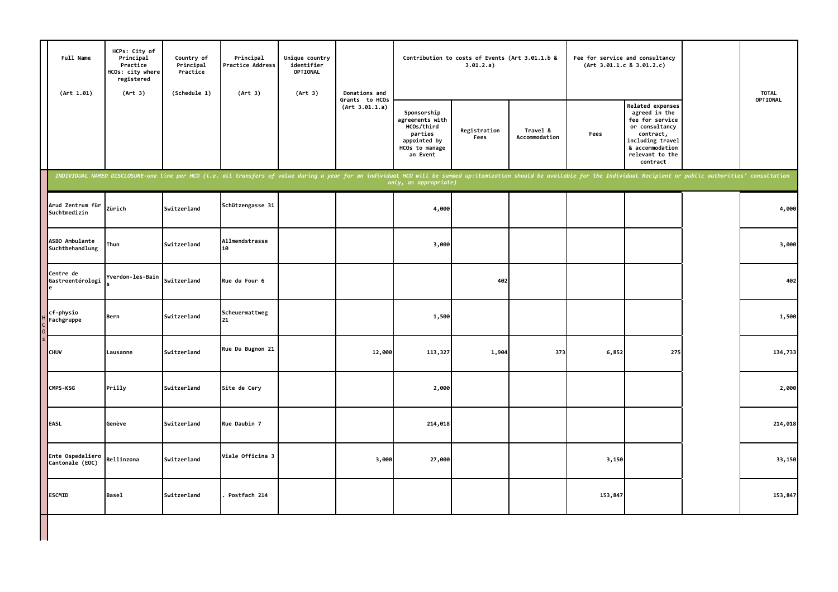| Full Name<br>(Art 1.01)             | HCPs: City of<br>Principal<br>Practice<br>HCOs: city where<br>registered<br>(Art 3)                                                                                                                                            | Country of<br>Principal<br>Practice<br>(Schedule 1) | Principal<br><b>Practice Address</b><br>(Art 3) | Unique country<br>identifier<br><b>OPTIONAL</b><br>(Art 3) | Donations and                    |                                                                                                       | Contribution to costs of Events (Art 3.01.1.b &<br>3.01.2.a) |                           |         | Fee for service and consultancy<br>(Art 3.01.1.c 8 3.01.2.c)                                                                                              | <b>TOTAL</b> |
|-------------------------------------|--------------------------------------------------------------------------------------------------------------------------------------------------------------------------------------------------------------------------------|-----------------------------------------------------|-------------------------------------------------|------------------------------------------------------------|----------------------------------|-------------------------------------------------------------------------------------------------------|--------------------------------------------------------------|---------------------------|---------|-----------------------------------------------------------------------------------------------------------------------------------------------------------|--------------|
|                                     |                                                                                                                                                                                                                                |                                                     |                                                 |                                                            | Grants to HCOs<br>(Art 3.01.1.a) | Sponsorship<br>agreements with<br>HCOs/third<br>parties<br>appointed by<br>HCOs to manage<br>an Event | Registration<br>Fees                                         | Travel &<br>Accommodation | Fees    | Related expenses<br>agreed in the<br>fee for service<br>or consultancy<br>contract,<br>including travel<br>& accommodation<br>relevant to the<br>contract | OPTIONAL     |
|                                     | INDIVIDUAL NAMED DISCLOSURE-one line per HCO (i.e. all transfers of value during a year for an individual HCO will be summed up:itemization should be available for the Individual Recipient or public authorities' consultati |                                                     |                                                 |                                                            |                                  |                                                                                                       |                                                              |                           |         |                                                                                                                                                           |              |
| Arud Zentrum für<br>Suchtmedizin    | Zürich                                                                                                                                                                                                                         | Switzerland                                         | Schützengasse 31                                |                                                            |                                  | 4,000                                                                                                 |                                                              |                           |         |                                                                                                                                                           | 4,000        |
| ASBO Ambulante<br>Suchtbehandlung   | Thun                                                                                                                                                                                                                           | Switzerland                                         | Allmendstrasse<br>10                            |                                                            |                                  | 3,000                                                                                                 |                                                              |                           |         |                                                                                                                                                           | 3,000        |
| Centre de<br>Gastroentérologi       | Yverdon-les-Bain                                                                                                                                                                                                               | Switzerland                                         | Rue du Four 6                                   |                                                            |                                  |                                                                                                       | 402                                                          |                           |         |                                                                                                                                                           | 402          |
| cf-physio<br>Fachgruppe             | Bern                                                                                                                                                                                                                           | Switzerland                                         | Scheuermattweg<br>l21                           |                                                            |                                  | 1,500                                                                                                 |                                                              |                           |         |                                                                                                                                                           | 1,500        |
| <b>CHUV</b>                         | Lausanne                                                                                                                                                                                                                       | Switzerland                                         | Rue Du Bugnon 21                                |                                                            | 12,000                           | 113,327                                                                                               | 1,904                                                        | 373                       | 6,852   | 275                                                                                                                                                       | 134,733      |
| CMPS-KSG                            | Prilly                                                                                                                                                                                                                         | Switzerland                                         | Site de Cery                                    |                                                            |                                  | 2,000                                                                                                 |                                                              |                           |         |                                                                                                                                                           | 2,000        |
| EASL                                | Genève                                                                                                                                                                                                                         | Switzerland                                         | Rue Daubin 7                                    |                                                            |                                  | 214,018                                                                                               |                                                              |                           |         |                                                                                                                                                           | 214,018      |
| Ente Ospedaliero<br>Cantonale (EOC) | Bellinzona                                                                                                                                                                                                                     | Switzerland                                         | Viale Officina 3                                |                                                            | 3,000                            | 27,000                                                                                                |                                                              |                           | 3,150   |                                                                                                                                                           | 33,150       |
| <b>ESCMID</b>                       | <b>Basel</b>                                                                                                                                                                                                                   | Switzerland                                         | Postfach 214                                    |                                                            |                                  |                                                                                                       |                                                              |                           | 153,847 |                                                                                                                                                           | 153,847      |
|                                     |                                                                                                                                                                                                                                |                                                     |                                                 |                                                            |                                  |                                                                                                       |                                                              |                           |         |                                                                                                                                                           |              |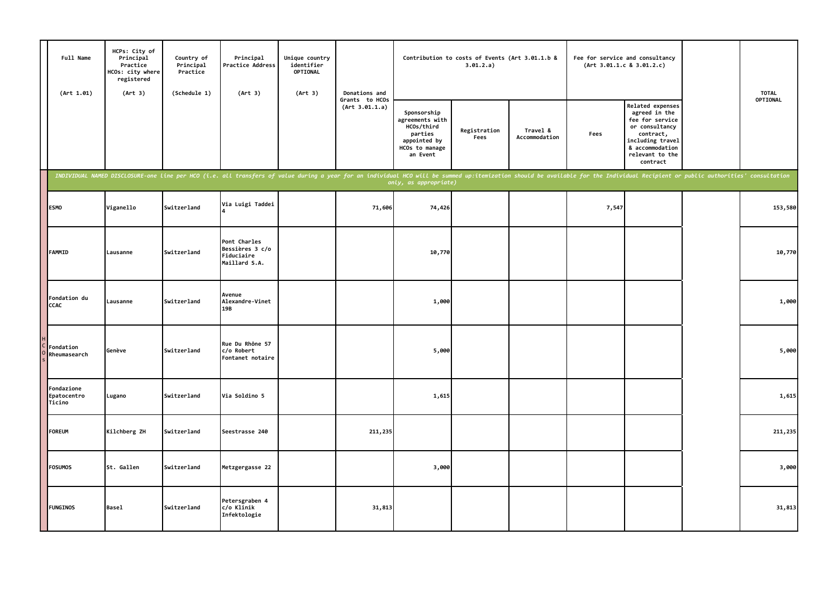| Full Name<br>(Art 1.01)             | HCPs: City of<br>Principal<br>Practice<br>HCOs: city where<br>registered<br>(Art 3) | Country of<br>Principal<br>Practice<br>(Schedule 1) | Principal<br>Practice Address<br>(Art 3)                                                                                                                                                                                       | Unique country<br>identifier<br>OPTIONAL<br>(Art 3) | Donations and                    |                                                                                                       | Contribution to costs of Events (Art 3.01.1.b &<br>3.01.2.a) |                           |       | Fee for service and consultancy<br>(Art 3.01.1.c 8 3.01.2.c)                                                                                              | <b>TOTAL</b> |
|-------------------------------------|-------------------------------------------------------------------------------------|-----------------------------------------------------|--------------------------------------------------------------------------------------------------------------------------------------------------------------------------------------------------------------------------------|-----------------------------------------------------|----------------------------------|-------------------------------------------------------------------------------------------------------|--------------------------------------------------------------|---------------------------|-------|-----------------------------------------------------------------------------------------------------------------------------------------------------------|--------------|
|                                     |                                                                                     |                                                     |                                                                                                                                                                                                                                |                                                     | Grants to HCOs<br>(Art 3.01.1.a) | Sponsorship<br>agreements with<br>HCOs/third<br>parties<br>appointed by<br>HCOs to manage<br>an Event | Registration<br>Fees                                         | Travel &<br>Accommodation | Fees  | Related expenses<br>agreed in the<br>fee for service<br>or consultancy<br>contract,<br>including travel<br>& accommodation<br>relevant to the<br>contract | OPTIONAL     |
|                                     |                                                                                     |                                                     | INDIVIDUAL NAMED DISCLOSURE-one line per HCO (i.e. all transfers of value during a year for an individual HCO will be summed up:itemization should be available for the Individual Recipient or public authorities' consultati |                                                     |                                  | only, as appropriate)                                                                                 |                                                              |                           |       |                                                                                                                                                           |              |
| <b>ESMO</b>                         | Viganello                                                                           | Switzerland                                         | Via Luigi Taddei                                                                                                                                                                                                               |                                                     | 71,606                           | 74,426                                                                                                |                                                              |                           | 7,547 |                                                                                                                                                           | 153,580      |
| FAMMID                              | Lausanne                                                                            | <b>Switzerland</b>                                  | Pont Charles<br>Bessières 3 c/o<br>Fiduciaire<br>Maillard S.A.                                                                                                                                                                 |                                                     |                                  | 10,770                                                                                                |                                                              |                           |       |                                                                                                                                                           | 10,770       |
| Fondation du<br>CCAC                | Lausanne                                                                            | Switzerland                                         | Avenue<br>Alexandre-Vinet<br>19B                                                                                                                                                                                               |                                                     |                                  | 1,000                                                                                                 |                                                              |                           |       |                                                                                                                                                           | 1,000        |
| Fondation<br>Rheumasearch           | Genève                                                                              | Switzerland                                         | Rue Du Rhône 57<br>c/o Robert<br>Fontanet notaire                                                                                                                                                                              |                                                     |                                  | 5,000                                                                                                 |                                                              |                           |       |                                                                                                                                                           | 5,000        |
| Fondazione<br>Epatocentro<br>Ticino | Lugano                                                                              | Switzerland                                         | Via Soldino 5                                                                                                                                                                                                                  |                                                     |                                  | 1,615                                                                                                 |                                                              |                           |       |                                                                                                                                                           | 1,615        |
| <b>FOREUM</b>                       | Kilchberg ZH                                                                        | Switzerland                                         | Seestrasse 240                                                                                                                                                                                                                 |                                                     | 211,235                          |                                                                                                       |                                                              |                           |       |                                                                                                                                                           | 211,235      |
| FOSUMOS                             | St. Gallen                                                                          | Switzerland                                         | Metzgergasse 22                                                                                                                                                                                                                |                                                     |                                  | 3,000                                                                                                 |                                                              |                           |       |                                                                                                                                                           | 3,000        |
| <b>FUNGINOS</b>                     | <b>Basel</b>                                                                        | Switzerland                                         | Petersgraben 4<br>c/o Klinik<br>Infektologie                                                                                                                                                                                   |                                                     | 31,813                           |                                                                                                       |                                                              |                           |       |                                                                                                                                                           | 31,813       |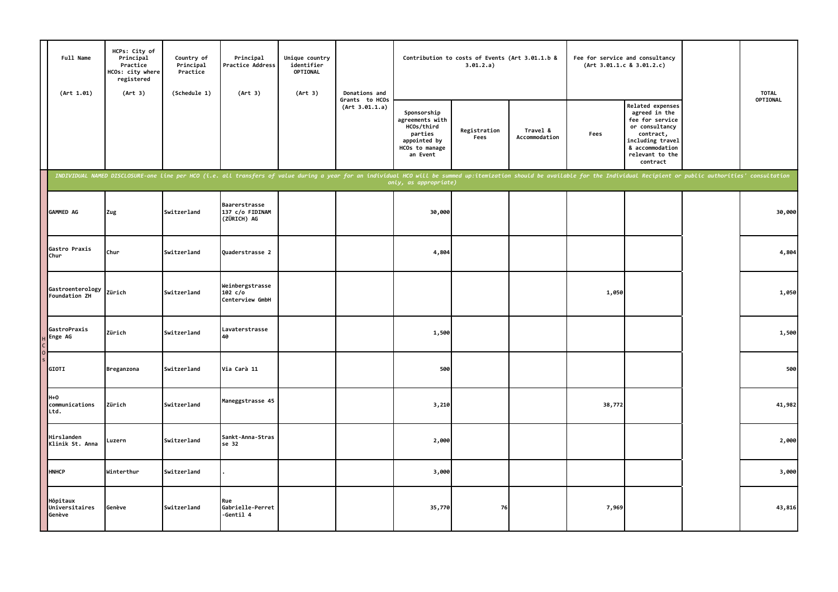| Full Name<br>(Art 1.01)              | HCPs: City of<br>Principal<br>Practice<br>HCOs: city where<br>registered<br>(Art 3) | Country of<br>Principal<br>Practice<br>(Schedule 1) | Principal<br>Practice Address<br>(Art 3)                                                                                                                                                                                       | Unique country<br>identifier<br>OPTIONAL<br>(Art 3) | Donations and                    |                                                                                                       | Contribution to costs of Events (Art 3.01.1.b &<br>3.01.2.a) |                           |        | Fee for service and consultancy<br>(Art 3.01.1.c 8 3.01.2.c)                                                                                                     | <b>TOTAL</b> |
|--------------------------------------|-------------------------------------------------------------------------------------|-----------------------------------------------------|--------------------------------------------------------------------------------------------------------------------------------------------------------------------------------------------------------------------------------|-----------------------------------------------------|----------------------------------|-------------------------------------------------------------------------------------------------------|--------------------------------------------------------------|---------------------------|--------|------------------------------------------------------------------------------------------------------------------------------------------------------------------|--------------|
|                                      |                                                                                     |                                                     |                                                                                                                                                                                                                                |                                                     | Grants to HCOs<br>(Art 3.01.1.a) | Sponsorship<br>agreements with<br>HCOs/third<br>parties<br>appointed by<br>HCOs to manage<br>an Event | Registration<br>Fees                                         | Travel &<br>Accommodation | Fees   | <b>Related expenses</b><br>agreed in the<br>fee for service<br>or consultancy<br>contract,<br>including travel<br>& accommodation<br>relevant to the<br>contract | OPTIONAL     |
|                                      |                                                                                     |                                                     | INDIVIDUAL NAMED DISCLOSURE-one line per HCO (i.e. all transfers of value during a year for an individual HCO will be summed up:itemization should be available for the Individual Recipient or public authorities' consultati |                                                     |                                  |                                                                                                       |                                                              |                           |        |                                                                                                                                                                  |              |
| GAMMED AG                            | Zug                                                                                 | Switzerland                                         | <b>Baarerstrasse</b><br>137 c/o FIDINAM<br>(ZÜRICH) AG                                                                                                                                                                         |                                                     |                                  | 30,000                                                                                                |                                                              |                           |        |                                                                                                                                                                  | 30,000       |
| Gastro Praxis<br>Chur                | Chur                                                                                | Switzerland                                         | Quaderstrasse 2                                                                                                                                                                                                                |                                                     |                                  | 4,804                                                                                                 |                                                              |                           |        |                                                                                                                                                                  | 4,804        |
| Gastroenterology<br>Foundation ZH    | Zürich                                                                              | Switzerland                                         | Weinbergstrasse<br>102 c/o<br>Centerview GmbH                                                                                                                                                                                  |                                                     |                                  |                                                                                                       |                                                              |                           | 1,050  |                                                                                                                                                                  | 1,050        |
| GastroPraxis<br>Enge AG              | Zürich                                                                              | Switzerland                                         | Lavaterstrasse<br>40                                                                                                                                                                                                           |                                                     |                                  | 1,500                                                                                                 |                                                              |                           |        |                                                                                                                                                                  | 1,500        |
| GIOTI                                | Breganzona                                                                          | Switzerland                                         | Via Carà 11                                                                                                                                                                                                                    |                                                     |                                  | 500                                                                                                   |                                                              |                           |        |                                                                                                                                                                  | 500          |
| $H+O$<br>communications<br>Ltd.      | Zürich                                                                              | Switzerland                                         | Maneggstrasse 45                                                                                                                                                                                                               |                                                     |                                  | 3,210                                                                                                 |                                                              |                           | 38,772 |                                                                                                                                                                  | 41,982       |
| Hirslanden<br>Klinik St. Anna        | Luzern                                                                              | Switzerland                                         | Sankt-Anna-Stras<br>se 32                                                                                                                                                                                                      |                                                     |                                  | 2,000                                                                                                 |                                                              |                           |        |                                                                                                                                                                  | 2,000        |
| <b>HNHCP</b>                         | Winterthur                                                                          | Switzerland                                         |                                                                                                                                                                                                                                |                                                     |                                  | 3,000                                                                                                 |                                                              |                           |        |                                                                                                                                                                  | 3,000        |
| Hôpitaux<br>Universitaires<br>Genève | Genève                                                                              | Switzerland                                         | Rue<br>Gabrielle-Perret<br>-Gentil 4                                                                                                                                                                                           |                                                     |                                  | 35,770                                                                                                | 76                                                           |                           | 7,969  |                                                                                                                                                                  | 43,816       |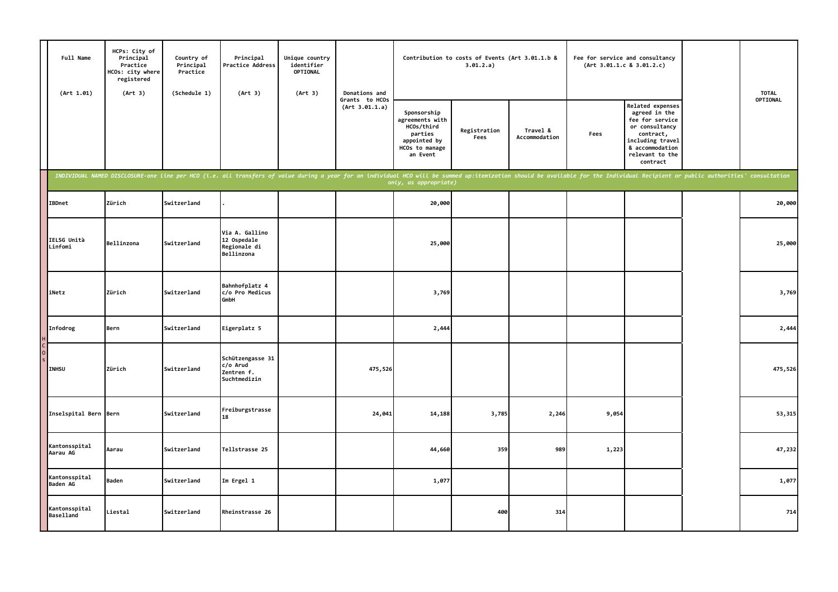| Full Name<br>(Art 1.01)           | HCPs: City of<br>Principal<br>Practice<br>HCOs: city where<br>registered<br>(Art 3) | Country of<br>Principal<br>Practice<br>(Schedule 1) | Principal<br>Practice Address<br>(Art 3)                                                                                                                                                                                       | Unique country<br>identifier<br>OPTIONAL<br>(Art 3) | Donations and                    |                                                                                                       | Contribution to costs of Events (Art 3.01.1.b &<br>3.01.2.a) |                           |       | Fee for service and consultancy<br>(Art 3.01.1.c 8 3.01.2.c)                                                                                                     | <b>TOTAL</b> |
|-----------------------------------|-------------------------------------------------------------------------------------|-----------------------------------------------------|--------------------------------------------------------------------------------------------------------------------------------------------------------------------------------------------------------------------------------|-----------------------------------------------------|----------------------------------|-------------------------------------------------------------------------------------------------------|--------------------------------------------------------------|---------------------------|-------|------------------------------------------------------------------------------------------------------------------------------------------------------------------|--------------|
|                                   |                                                                                     |                                                     |                                                                                                                                                                                                                                |                                                     | Grants to HCOs<br>(Art 3.01.1.a) | Sponsorship<br>agreements with<br>HCOs/third<br>parties<br>appointed by<br>HCOs to manage<br>an Event | Registration<br>Fees                                         | Travel &<br>Accommodation | Fees  | <b>Related expenses</b><br>agreed in the<br>fee for service<br>or consultancy<br>contract,<br>including travel<br>& accommodation<br>relevant to the<br>contract | OPTIONAL     |
|                                   |                                                                                     |                                                     | INDIVIDUAL NAMED DISCLOSURE-one line per HCO (i.e. all transfers of value during a year for an individual HCO will be summed up:itemization should be available for the Individual Recipient or public authorities' consultati |                                                     |                                  |                                                                                                       |                                                              |                           |       |                                                                                                                                                                  |              |
| <b>IBDnet</b>                     | Zürich                                                                              | Switzerland                                         |                                                                                                                                                                                                                                |                                                     |                                  | 20,000                                                                                                |                                                              |                           |       |                                                                                                                                                                  | 20,000       |
| IELSG Unità<br>Linfomi            | Bellinzona                                                                          | Switzerland                                         | Via A. Gallino<br>12 Ospedale<br>Regionale di<br>Bellinzona                                                                                                                                                                    |                                                     |                                  | 25,000                                                                                                |                                                              |                           |       |                                                                                                                                                                  | 25,000       |
| iNetz                             | Zürich                                                                              | Switzerland                                         | Bahnhofplatz 4<br>c/o Pro Medicus<br><b>GmbH</b>                                                                                                                                                                               |                                                     |                                  | 3,769                                                                                                 |                                                              |                           |       |                                                                                                                                                                  | 3,769        |
| Infodrog                          | Bern                                                                                | Switzerland                                         | Eigerplatz 5                                                                                                                                                                                                                   |                                                     |                                  | 2,444                                                                                                 |                                                              |                           |       |                                                                                                                                                                  | 2,444        |
| <b>INHSU</b>                      | Zürich                                                                              | Switzerland                                         | Schützengasse 31<br>c/o Arud<br>Zentren f.<br>Suchtmedizin                                                                                                                                                                     |                                                     | 475,526                          |                                                                                                       |                                                              |                           |       |                                                                                                                                                                  | 475,526      |
| Inselspital Bern Bern             |                                                                                     | Switzerland                                         | Freiburgstrasse<br>18                                                                                                                                                                                                          |                                                     | 24,041                           | 14,188                                                                                                | 3,785                                                        | 2,246                     | 9,054 |                                                                                                                                                                  | 53,315       |
| Kantonsspital<br>Aarau AG         | Aarau                                                                               | Switzerland                                         | Tellstrasse 25                                                                                                                                                                                                                 |                                                     |                                  | 44,660                                                                                                | 359                                                          | 989                       | 1,223 |                                                                                                                                                                  | 47,232       |
| Kantonsspital<br>Baden AG         | <b>Baden</b>                                                                        | Switzerland                                         | Im Ergel 1                                                                                                                                                                                                                     |                                                     |                                  | 1,077                                                                                                 |                                                              |                           |       |                                                                                                                                                                  | 1,077        |
| Kantonsspital<br><b>Baselland</b> | Liestal                                                                             | Switzerland                                         | Rheinstrasse 26                                                                                                                                                                                                                |                                                     |                                  |                                                                                                       | 400                                                          | 314                       |       |                                                                                                                                                                  | 714          |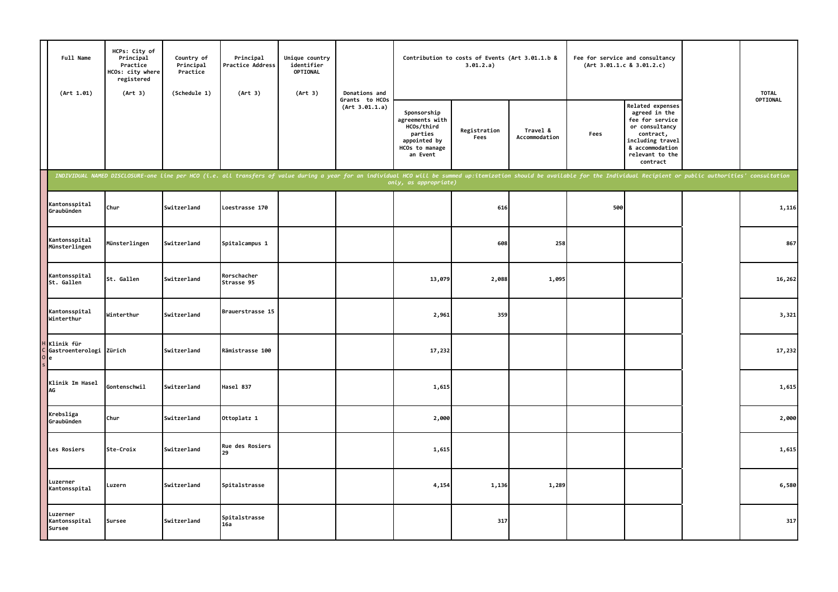| Full Name<br>(Art 1.01)                    | HCPs: City of<br>Principal<br>Practice<br>HCOs: city where<br>registered<br>(Art 3) | Country of<br>Principal<br>Practice<br>(Schedule 1) | Principal<br><b>Practice Address</b><br>(Art 3)                                                                                                                                                                                | Unique country<br>identifier<br><b>OPTIONAL</b><br>(Art 3) | Donations and                    |                                                                                                       | Contribution to costs of Events (Art 3.01.1.b &<br>3.01.2.a) |                           |      | Fee for service and consultancy<br>(Art 3.01.1.c 8 3.01.2.c)                                                                                              | <b>TOTAL</b> |
|--------------------------------------------|-------------------------------------------------------------------------------------|-----------------------------------------------------|--------------------------------------------------------------------------------------------------------------------------------------------------------------------------------------------------------------------------------|------------------------------------------------------------|----------------------------------|-------------------------------------------------------------------------------------------------------|--------------------------------------------------------------|---------------------------|------|-----------------------------------------------------------------------------------------------------------------------------------------------------------|--------------|
|                                            |                                                                                     |                                                     |                                                                                                                                                                                                                                |                                                            | Grants to HCOs<br>(Art 3.01.1.a) | Sponsorship<br>agreements with<br>HCOs/third<br>parties<br>appointed by<br>HCOs to manage<br>an Event | Registration<br>Fees                                         | Travel &<br>Accommodation | Fees | Related expenses<br>agreed in the<br>fee for service<br>or consultancy<br>contract,<br>including travel<br>& accommodation<br>relevant to the<br>contract | OPTIONAL     |
|                                            |                                                                                     |                                                     | INDIVIDUAL NAMED DISCLOSURE-one line per HCO (i.e. all transfers of value during a year for an individual HCO will be summed up:itemization should be available for the Individual Recipient or public authorities' consultati |                                                            |                                  | only, as appropriate)                                                                                 |                                                              |                           |      |                                                                                                                                                           |              |
| Kantonsspital<br>Graubünden                | Chur                                                                                | Switzerland                                         | Loestrasse 170                                                                                                                                                                                                                 |                                                            |                                  |                                                                                                       | 616                                                          |                           | 500  |                                                                                                                                                           | 1,116        |
| Kantonsspital<br>Münsterlingen             | Münsterlingen                                                                       | Switzerland                                         | Spitalcampus 1                                                                                                                                                                                                                 |                                                            |                                  |                                                                                                       | 608                                                          | 258                       |      |                                                                                                                                                           | 867          |
| Kantonsspital<br>St. Gallen                | St. Gallen                                                                          | Switzerland                                         | Rorschacher<br>Strasse 95                                                                                                                                                                                                      |                                                            |                                  | 13,079                                                                                                | 2,088                                                        | 1,095                     |      |                                                                                                                                                           | 16,262       |
| Kantonsspital<br>Winterthur                | Winterthur                                                                          | Switzerland                                         | Brauerstrasse 15                                                                                                                                                                                                               |                                                            |                                  | 2,961                                                                                                 | 359                                                          |                           |      |                                                                                                                                                           | 3,321        |
| Klinik für<br>Gastroenterologi Zürich<br>e |                                                                                     | Switzerland                                         | Rämistrasse 100                                                                                                                                                                                                                |                                                            |                                  | 17,232                                                                                                |                                                              |                           |      |                                                                                                                                                           | 17,232       |
| Klinik Im Hasel<br>AG                      | Gontenschwil                                                                        | Switzerland                                         | Hasel 837                                                                                                                                                                                                                      |                                                            |                                  | 1,615                                                                                                 |                                                              |                           |      |                                                                                                                                                           | 1,615        |
| Krebsliga<br>Graubünden                    | Chur                                                                                | Switzerland                                         | Ottoplatz 1                                                                                                                                                                                                                    |                                                            |                                  | 2,000                                                                                                 |                                                              |                           |      |                                                                                                                                                           | 2,000        |
| Les Rosiers                                | Ste-Croix                                                                           | Switzerland                                         | <b>Rue des Rosiers</b><br>29                                                                                                                                                                                                   |                                                            |                                  | 1,615                                                                                                 |                                                              |                           |      |                                                                                                                                                           | 1,615        |
| Luzerner<br>Kantonsspital                  | Luzern                                                                              | Switzerland                                         | Spitalstrasse                                                                                                                                                                                                                  |                                                            |                                  | 4,154                                                                                                 | 1,136                                                        | 1,289                     |      |                                                                                                                                                           | 6,580        |
| Luzerner<br>Kantonsspital<br>Sursee        | Sursee                                                                              | Switzerland                                         | Spitalstrasse<br>16a                                                                                                                                                                                                           |                                                            |                                  |                                                                                                       | 317                                                          |                           |      |                                                                                                                                                           | 317          |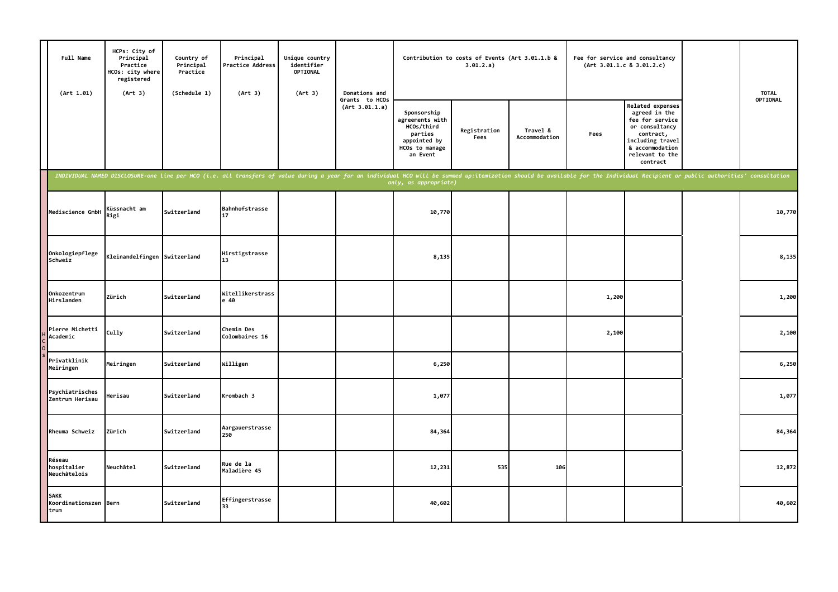| Full Name<br>(Art 1.01)               | HCPs: City of<br>Principal<br>Practice<br>HCOs: city where<br>registered<br>(Art 3) | Country of<br>Principal<br>Practice<br>(Schedule 1) | Principal<br>Practice Address<br>(Art 3)                                                                                                                                                                                       | Unique country<br>identifier<br>OPTIONAL<br>(Art 3) | Donations and                    |                                                                                                       | Contribution to costs of Events (Art 3.01.1.b &<br>3.01.2.a) |                           | (Art 3.01.1.c 8 3.01.2.c) | Fee for service and consultancy                                                                                                                                  | <b>TOTAL</b> |
|---------------------------------------|-------------------------------------------------------------------------------------|-----------------------------------------------------|--------------------------------------------------------------------------------------------------------------------------------------------------------------------------------------------------------------------------------|-----------------------------------------------------|----------------------------------|-------------------------------------------------------------------------------------------------------|--------------------------------------------------------------|---------------------------|---------------------------|------------------------------------------------------------------------------------------------------------------------------------------------------------------|--------------|
|                                       |                                                                                     |                                                     |                                                                                                                                                                                                                                |                                                     | Grants to HCOs<br>(Art 3.01.1.a) | Sponsorship<br>agreements with<br>HCOs/third<br>parties<br>appointed by<br>HCOs to manage<br>an Event | Registration<br>Fees                                         | Travel &<br>Accommodation | Fees                      | <b>Related expenses</b><br>agreed in the<br>fee for service<br>or consultancy<br>contract,<br>including travel<br>& accommodation<br>relevant to the<br>contract | OPTIONAL     |
|                                       |                                                                                     |                                                     | INDIVIDUAL NAMED DISCLOSURE-one line per HCO (i.e. all transfers of value during a year for an individual HCO will be summed up:itemization should be available for the Individual Recipient or public authorities' consultati |                                                     |                                  | only, as appropriate)                                                                                 |                                                              |                           |                           |                                                                                                                                                                  |              |
| Mediscience GmbH                      | Küssnacht am<br>Rigi                                                                | Switzerland                                         | Bahnhofstrasse<br>17                                                                                                                                                                                                           |                                                     |                                  | 10,770                                                                                                |                                                              |                           |                           |                                                                                                                                                                  | 10,770       |
| Onkologiepflege<br>Schweiz            | Kleinandelfingen Switzerland                                                        |                                                     | Hirstigstrasse<br>113                                                                                                                                                                                                          |                                                     |                                  | 8,135                                                                                                 |                                                              |                           |                           |                                                                                                                                                                  | 8,135        |
| Onkozentrum<br>Hirslanden             | Zürich                                                                              | Switzerland                                         | Witellikerstrass<br>e 40                                                                                                                                                                                                       |                                                     |                                  |                                                                                                       |                                                              |                           | 1,200                     |                                                                                                                                                                  | 1,200        |
| Pierre Michetti<br>Academic           | Cully                                                                               | Switzerland                                         | Chemin Des<br>Colombaires 16                                                                                                                                                                                                   |                                                     |                                  |                                                                                                       |                                                              |                           | 2,100                     |                                                                                                                                                                  | 2,100        |
| Privatklinik<br>Meiringen             | Meiringen                                                                           | Switzerland                                         | Willigen                                                                                                                                                                                                                       |                                                     |                                  | 6,250                                                                                                 |                                                              |                           |                           |                                                                                                                                                                  | 6,250        |
| Psychiatrisches<br>Zentrum Herisau    | Herisau                                                                             | Switzerland                                         | Krombach 3                                                                                                                                                                                                                     |                                                     |                                  | 1,077                                                                                                 |                                                              |                           |                           |                                                                                                                                                                  | 1,077        |
| Rheuma Schweiz                        | Zürich                                                                              | Switzerland                                         | Aargauerstrasse<br>250                                                                                                                                                                                                         |                                                     |                                  | 84,364                                                                                                |                                                              |                           |                           |                                                                                                                                                                  | 84,364       |
| Réseau<br>hospitalier<br>Neuchâtelois | Neuchâtel                                                                           | Switzerland                                         | Rue de la<br>Maladière 45                                                                                                                                                                                                      |                                                     |                                  | 12,231                                                                                                | 535                                                          | 106                       |                           |                                                                                                                                                                  | 12,872       |
| SAKK<br>Koordinationszen Bern<br>trum |                                                                                     | Switzerland                                         | Effingerstrasse<br>33                                                                                                                                                                                                          |                                                     |                                  | 40,602                                                                                                |                                                              |                           |                           |                                                                                                                                                                  | 40,602       |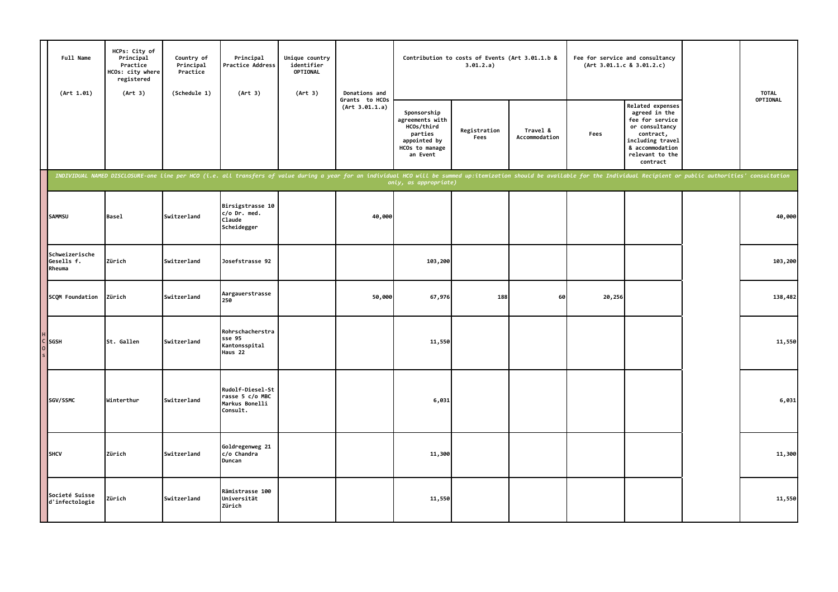| Full Name<br>(Art 1.01)                | HCPs: City of<br>Principal<br>Practice<br>HCOs: city where<br>registered<br>(Art 3) | Country of<br>Principal<br>Practice<br>(Schedule 1) | Principal<br>Unique country<br>identifier<br>Practice Address<br>OPTIONAL<br>(Art 3)<br>(Art 3)                                                                                                                                |  | Donations and                    | Contribution to costs of Events (Art 3.01.1.b &<br>3.01.2.a)                                          |                      |                           | Fee for service and consultancy<br>(Art 3.01.1.c 8 3.01.2.c) |                                                                                                                                                           | <b>TOTAL</b> |
|----------------------------------------|-------------------------------------------------------------------------------------|-----------------------------------------------------|--------------------------------------------------------------------------------------------------------------------------------------------------------------------------------------------------------------------------------|--|----------------------------------|-------------------------------------------------------------------------------------------------------|----------------------|---------------------------|--------------------------------------------------------------|-----------------------------------------------------------------------------------------------------------------------------------------------------------|--------------|
|                                        |                                                                                     |                                                     |                                                                                                                                                                                                                                |  | Grants to HCOs<br>(Art 3.01.1.a) | Sponsorship<br>agreements with<br>HCOs/third<br>parties<br>appointed by<br>HCOs to manage<br>an Event | Registration<br>Fees | Travel &<br>Accommodation | Fees                                                         | Related expenses<br>agreed in the<br>fee for service<br>or consultancy<br>contract,<br>including travel<br>& accommodation<br>relevant to the<br>contract | OPTIONAL     |
|                                        |                                                                                     |                                                     | INDIVIDUAL NAMED DISCLOSURE-one line per HCO (i.e. all transfers of value during a year for an individual HCO will be summed up:itemization should be available for the Individual Recipient or public authorities' consultati |  |                                  | only, as appropriate)                                                                                 |                      |                           |                                                              |                                                                                                                                                           |              |
| <b>SAMMSU</b>                          | <b>Basel</b>                                                                        | Switzerland                                         | Birsigstrasse 10<br>c/o Dr. med.<br>Claude<br>Scheidegger                                                                                                                                                                      |  | 40,000                           |                                                                                                       |                      |                           |                                                              |                                                                                                                                                           | 40,000       |
| Schweizerische<br>Gesells f.<br>Rheuma | Zürich                                                                              | Switzerland                                         | Josefstrasse 92                                                                                                                                                                                                                |  |                                  | 103,200                                                                                               |                      |                           |                                                              |                                                                                                                                                           | 103,200      |
| SCOM Foundation                        | Zürich                                                                              | Switzerland                                         | Aargauerstrasse<br>250                                                                                                                                                                                                         |  | 50,000                           | 67,976                                                                                                | 188                  | 60                        | 20,256                                                       |                                                                                                                                                           | 138,482      |
| C SGSH                                 | St. Gallen                                                                          | Switzerland                                         | Rohrschacherstra<br>sse 95<br>Kantonsspital<br>Haus 22                                                                                                                                                                         |  |                                  | 11,550                                                                                                |                      |                           |                                                              |                                                                                                                                                           | 11,550       |
| SGV/SSMC                               | Winterthur                                                                          | Switzerland                                         | Rudolf-Diesel-St<br>rasse 5 c/o MBC<br>Markus Bonelli<br>Consult.                                                                                                                                                              |  |                                  | 6,031                                                                                                 |                      |                           |                                                              |                                                                                                                                                           | 6,031        |
| <b>SHCV</b>                            | Zürich                                                                              | Switzerland                                         | Goldregenweg 21<br>c/o Chandra<br>Duncan                                                                                                                                                                                       |  |                                  | 11,300                                                                                                |                      |                           |                                                              |                                                                                                                                                           | 11,300       |
| Societé Suisse<br>d'infectologie       | Zürich                                                                              | Switzerland                                         | Rämistrasse 100<br>Universität<br>Zürich                                                                                                                                                                                       |  |                                  | 11,550                                                                                                |                      |                           |                                                              |                                                                                                                                                           | 11,550       |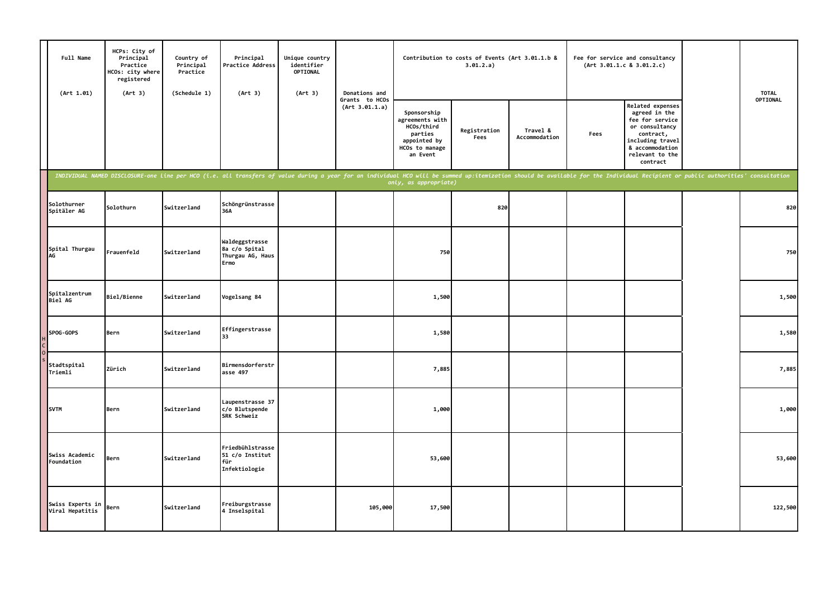| Full Name<br>(Art 1.01)             | HCPs: City of<br>Principal<br>Practice<br>HCOs: city where<br>registered<br>(Art 3) | Country of<br>Principal<br>Practice | Principal<br>(Schedule 1)<br>(Art 3)                                                                                                                                                                                           | Practice Address | Unique country<br>identifier<br>OPTIONAL<br>(Art 3) | Donations and                                                                                         | Contribution to costs of Events (Art 3.01.1.b &<br>3.01.2.a) |                           |      | Fee for service and consultancy<br>(Art 3.01.1.c 8 3.01.2.c)                                                                                              |          | <b>TOTAL</b> |
|-------------------------------------|-------------------------------------------------------------------------------------|-------------------------------------|--------------------------------------------------------------------------------------------------------------------------------------------------------------------------------------------------------------------------------|------------------|-----------------------------------------------------|-------------------------------------------------------------------------------------------------------|--------------------------------------------------------------|---------------------------|------|-----------------------------------------------------------------------------------------------------------------------------------------------------------|----------|--------------|
|                                     |                                                                                     |                                     |                                                                                                                                                                                                                                |                  | Grants to HCOs<br>(Art 3.01.1.a)                    | Sponsorship<br>agreements with<br>HCOs/third<br>parties<br>appointed by<br>HCOs to manage<br>an Event | Registration<br>Fees                                         | Travel &<br>Accommodation | Fees | Related expenses<br>agreed in the<br>fee for service<br>or consultancy<br>contract,<br>including travel<br>& accommodation<br>relevant to the<br>contract | OPTIONAL |              |
|                                     |                                                                                     |                                     | INDIVIDUAL NAMED DISCLOSURE-one line per HCO (i.e. all transfers of value during a year for an individual HCO will be summed up:itemization should be available for the Individual Recipient or public authorities' consultati |                  |                                                     | only, as appropriate)                                                                                 |                                                              |                           |      |                                                                                                                                                           |          |              |
| Solothurner<br>Spitäler AG          | Solothurn                                                                           | Switzerland                         | Schöngrünstrasse<br>36A                                                                                                                                                                                                        |                  |                                                     |                                                                                                       | 820                                                          |                           |      |                                                                                                                                                           | 820      |              |
| Spital Thurgau<br>AG                | Frauenfeld                                                                          | Switzerland                         | Waldeggstrasse<br>8a c/o Spital<br>Thurgau AG, Haus<br>Ermo                                                                                                                                                                    |                  |                                                     | 750                                                                                                   |                                                              |                           |      |                                                                                                                                                           | 750      |              |
| Spitalzentrum<br><b>Biel AG</b>     | Biel/Bienne                                                                         | Switzerland                         | Vogelsang 84                                                                                                                                                                                                                   |                  |                                                     | 1,500                                                                                                 |                                                              |                           |      |                                                                                                                                                           | 1,500    |              |
| SPOG-GOPS                           | Bern                                                                                | Switzerland                         | Effingerstrasse<br>33                                                                                                                                                                                                          |                  |                                                     | 1,580                                                                                                 |                                                              |                           |      |                                                                                                                                                           | 1,580    |              |
| Stadtspital<br>Triemli              | Zürich                                                                              | Switzerland                         | Birmensdorferstr<br>asse 497                                                                                                                                                                                                   |                  |                                                     | 7,885                                                                                                 |                                                              |                           |      |                                                                                                                                                           | 7,885    |              |
| <b>SVTM</b>                         | Bern                                                                                | Switzerland                         | Laupenstrasse 37<br>c/o Blutspende<br>SRK Schweiz                                                                                                                                                                              |                  |                                                     | 1,000                                                                                                 |                                                              |                           |      |                                                                                                                                                           | 1,000    |              |
| Swiss Academic<br>Foundation        | Bern                                                                                | Switzerland                         | Friedbühlstrasse<br>51 c/o Institut<br>für<br>Infektiologie                                                                                                                                                                    |                  |                                                     | 53,600                                                                                                |                                                              |                           |      |                                                                                                                                                           | 53,600   |              |
| Swiss Experts in<br>Viral Hepatitis | Bern                                                                                | Switzerland                         | Freiburgstrasse<br>4 Inselspital                                                                                                                                                                                               |                  | 105,000                                             | 17,500                                                                                                |                                                              |                           |      |                                                                                                                                                           | 122,500  |              |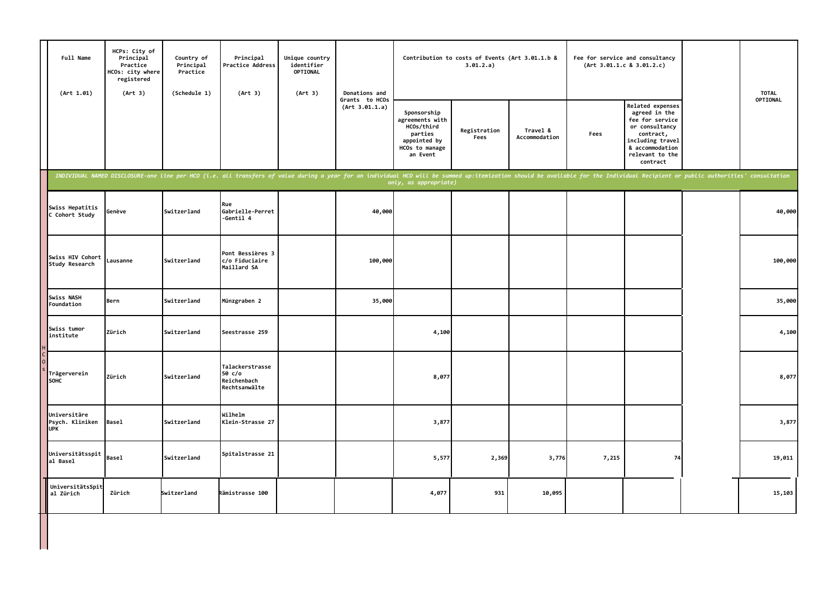| Full Name<br>(Art 1.01)                       | HCPs: City of<br>Principal<br>Practice<br>HCOs: city where<br>registered<br>(Art 3) | Country of<br>Principal<br>Practice<br>(Schedule 1) | Principal<br>Practice Address<br>(Art 3)                                                                                                                                                                                       | Unique country<br>identifier<br>OPTIONAL<br>(Art 3) | Donations and                    |                                                                                                       | Contribution to costs of Events (Art 3.01.1.b &<br>3.01.2.a) |                           |       | Fee for service and consultancy<br>(Art 3.01.1.c 8 3.01.2.c)                                                                                              | <b>TOTAL</b> |
|-----------------------------------------------|-------------------------------------------------------------------------------------|-----------------------------------------------------|--------------------------------------------------------------------------------------------------------------------------------------------------------------------------------------------------------------------------------|-----------------------------------------------------|----------------------------------|-------------------------------------------------------------------------------------------------------|--------------------------------------------------------------|---------------------------|-------|-----------------------------------------------------------------------------------------------------------------------------------------------------------|--------------|
|                                               |                                                                                     |                                                     |                                                                                                                                                                                                                                |                                                     | Grants to HCOs<br>(Art 3.01.1.a) | Sponsorship<br>agreements with<br>HCOs/third<br>parties<br>appointed by<br>HCOs to manage<br>an Event | Registration<br>Fees                                         | Travel &<br>Accommodation | Fees  | Related expenses<br>agreed in the<br>fee for service<br>or consultancy<br>contract,<br>including travel<br>& accommodation<br>relevant to the<br>contract | OPTIONAL     |
|                                               |                                                                                     |                                                     | INDIVIDUAL NAMED DISCLOSURE-one line per HCO (i.e. all transfers of value during a year for an individual HCO will be summed up:itemization should be available for the Individual Recipient or public authorities' consultati |                                                     |                                  | only, as appropriate)                                                                                 |                                                              |                           |       |                                                                                                                                                           |              |
| Swiss Hepatitis<br>C Cohort Study             | Genève                                                                              | Switzerland                                         | Rue<br>Gabrielle-Perret<br>-Gentil 4                                                                                                                                                                                           |                                                     | 40,000                           |                                                                                                       |                                                              |                           |       |                                                                                                                                                           | 40,000       |
| Swiss HIV Cohort<br>Study Research            | Lausanne                                                                            | Switzerland                                         | Pont Bessières 3<br>c/o Fiduciaire<br>Maillard SA                                                                                                                                                                              |                                                     | 100,000                          |                                                                                                       |                                                              |                           |       |                                                                                                                                                           | 100,000      |
| Swiss NASH<br>Foundation                      | Bern                                                                                | Switzerland                                         | Münzgraben 2                                                                                                                                                                                                                   |                                                     | 35,000                           |                                                                                                       |                                                              |                           |       |                                                                                                                                                           | 35,000       |
| Swiss tumor<br>institute                      | Zürich                                                                              | Switzerland                                         | Seestrasse 259                                                                                                                                                                                                                 |                                                     |                                  | 4,100                                                                                                 |                                                              |                           |       |                                                                                                                                                           | 4,100        |
| Trägerverein<br>SOHC                          | Zürich                                                                              | Switzerland                                         | Talackerstrasse<br>50 c/o<br>Reichenbach<br>Rechtsanwälte                                                                                                                                                                      |                                                     |                                  | 8,077                                                                                                 |                                                              |                           |       |                                                                                                                                                           | 8,077        |
| Universitäre<br>Psych. Kliniken<br><b>UPK</b> | <b>Basel</b>                                                                        | Switzerland                                         | Wilhelm<br>Klein-Strasse 27                                                                                                                                                                                                    |                                                     |                                  | 3,877                                                                                                 |                                                              |                           |       |                                                                                                                                                           | 3,877        |
| Universitätsspit<br>al Basel                  | <b>Basel</b>                                                                        | Switzerland                                         | Spitalstrasse 21                                                                                                                                                                                                               |                                                     |                                  | 5,577                                                                                                 | 2,369                                                        | 3,776                     | 7,215 | 74                                                                                                                                                        | 19,011       |
| UniversitätsSpit<br>al Zürich                 | Zürich                                                                              | Switzerland                                         | Rämistrasse 100                                                                                                                                                                                                                |                                                     |                                  | 4,077                                                                                                 | 931                                                          | 10,095                    |       |                                                                                                                                                           | 15,103       |
|                                               |                                                                                     |                                                     |                                                                                                                                                                                                                                |                                                     |                                  |                                                                                                       |                                                              |                           |       |                                                                                                                                                           |              |

L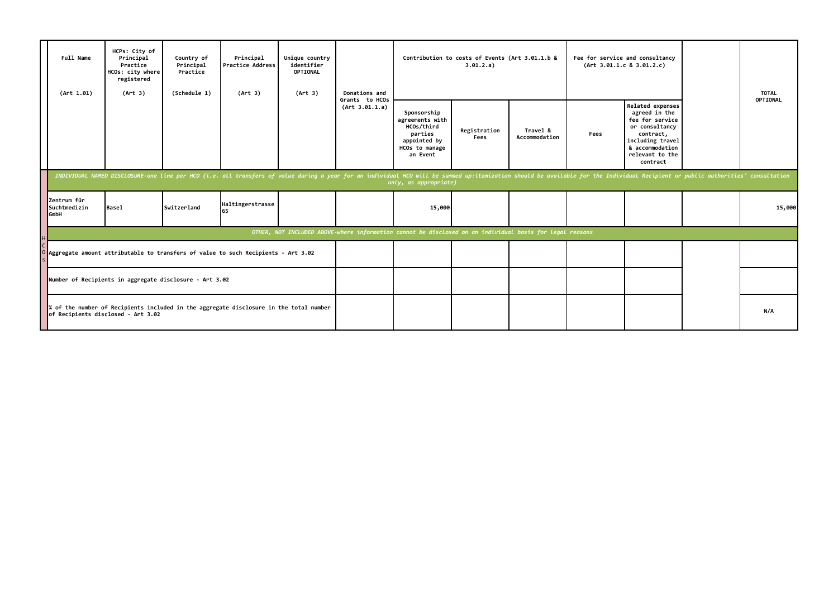|                                                                                                                              | Full Name<br>(Art 1.01)                    | HCPs: City of<br>Principal<br>Practice<br>HCOs: city where<br>registered<br>(Art 3) | Country of<br>Principal<br>Practice<br>(Schedule 1) | Principal<br><b>Practice Address</b><br>(Art 3)                                                                                                                                                                                | Unique country<br>identifier<br><b>OPTIONAL</b><br>(Art 3) | Donations and                    |                                                                                                          | Contribution to costs of Events (Art 3.01.1.b &<br>3.01.2.a) |                           | Fee for service and consultancy<br>(Art 3.01.1.c 8 3.01.2.c) |                                                                                                                                                           | <b>TOTAL</b> |
|------------------------------------------------------------------------------------------------------------------------------|--------------------------------------------|-------------------------------------------------------------------------------------|-----------------------------------------------------|--------------------------------------------------------------------------------------------------------------------------------------------------------------------------------------------------------------------------------|------------------------------------------------------------|----------------------------------|----------------------------------------------------------------------------------------------------------|--------------------------------------------------------------|---------------------------|--------------------------------------------------------------|-----------------------------------------------------------------------------------------------------------------------------------------------------------|--------------|
|                                                                                                                              |                                            |                                                                                     |                                                     |                                                                                                                                                                                                                                |                                                            | Grants to HCOs<br>(Art 3.01.1.a) | Sponsorship<br>agreements with<br>HCOs/third<br>parties<br>appointed by<br>HCOs to manage<br>an Event    | Registration<br>Fees                                         | Travel &<br>Accommodation | Fees                                                         | Related expenses<br>agreed in the<br>fee for service<br>or consultancy<br>contract,<br>including travel<br>& accommodation<br>relevant to the<br>contract | OPTIONAL     |
|                                                                                                                              |                                            |                                                                                     |                                                     | INDIVIDUAL NAMED DISCLOSURE-one line per HCO (i.e. all transfers of value during a year for an individual HCO will be summed up:itemization should be available for the Individual Recipient or public authorities' consultati |                                                            |                                  | only, as appropriate)                                                                                    |                                                              |                           |                                                              |                                                                                                                                                           |              |
|                                                                                                                              | Zentrum für<br>Suchtmedizin<br><b>GmbH</b> | <b>Basel</b>                                                                        | <b>Switzerland</b>                                  | Haltingerstrasse<br>165                                                                                                                                                                                                        |                                                            |                                  | 15,000                                                                                                   |                                                              |                           |                                                              |                                                                                                                                                           | 15,000       |
|                                                                                                                              |                                            |                                                                                     |                                                     |                                                                                                                                                                                                                                |                                                            |                                  | OTHER, NOT INCLUDED ABOVE-where information cannot be disclosed on an individual basis for legal reasons |                                                              |                           |                                                              |                                                                                                                                                           |              |
| O Aggregate amount attributable to transfers of value to such Recipients - Art 3.02                                          |                                            |                                                                                     |                                                     |                                                                                                                                                                                                                                |                                                            |                                  |                                                                                                          |                                                              |                           |                                                              |                                                                                                                                                           |              |
| Number of Recipients in aggregate disclosure - Art 3.02                                                                      |                                            |                                                                                     |                                                     |                                                                                                                                                                                                                                |                                                            |                                  |                                                                                                          |                                                              |                           |                                                              |                                                                                                                                                           |              |
| % of the number of Recipients included in the aggregate disclosure in the total number<br>of Recipients disclosed - Art 3.02 |                                            |                                                                                     |                                                     |                                                                                                                                                                                                                                |                                                            |                                  |                                                                                                          |                                                              |                           |                                                              |                                                                                                                                                           | N/A          |